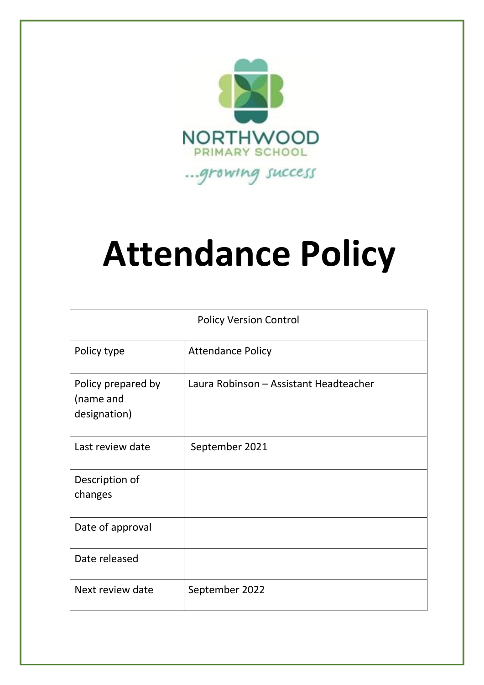

# **Attendance Policy**

| <b>Policy Version Control</b>                   |                                        |
|-------------------------------------------------|----------------------------------------|
| Policy type                                     | <b>Attendance Policy</b>               |
| Policy prepared by<br>(name and<br>designation) | Laura Robinson - Assistant Headteacher |
| Last review date                                | September 2021                         |
| Description of<br>changes                       |                                        |
| Date of approval                                |                                        |
| Date released                                   |                                        |
| Next review date                                | September 2022                         |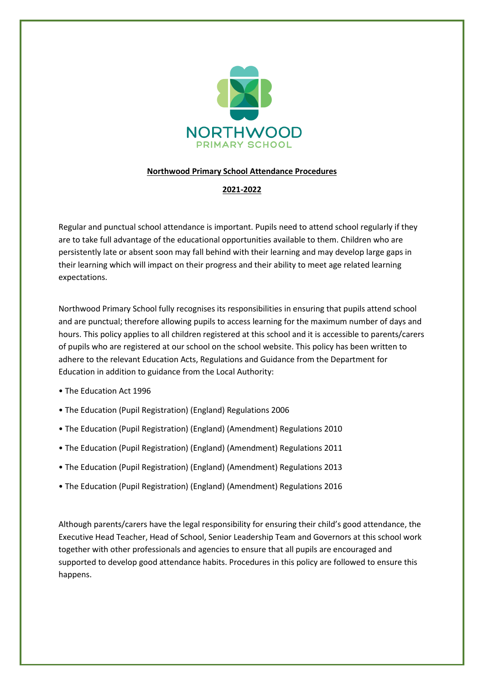

## **Northwood Primary School Attendance Procedures**

## **2021-2022**

Regular and punctual school attendance is important. Pupils need to attend school regularly if they are to take full advantage of the educational opportunities available to them. Children who are persistently late or absent soon may fall behind with their learning and may develop large gaps in their learning which will impact on their progress and their ability to meet age related learning expectations.

Northwood Primary School fully recognises its responsibilities in ensuring that pupils attend school and are punctual; therefore allowing pupils to access learning for the maximum number of days and hours. This policy applies to all children registered at this school and it is accessible to parents/carers of pupils who are registered at our school on the school website. This policy has been written to adhere to the relevant Education Acts, Regulations and Guidance from the Department for Education in addition to guidance from the Local Authority:

- The Education Act 1996
- The Education (Pupil Registration) (England) Regulations 2006
- The Education (Pupil Registration) (England) (Amendment) Regulations 2010
- The Education (Pupil Registration) (England) (Amendment) Regulations 2011
- The Education (Pupil Registration) (England) (Amendment) Regulations 2013
- The Education (Pupil Registration) (England) (Amendment) Regulations 2016

Although parents/carers have the legal responsibility for ensuring their child's good attendance, the Executive Head Teacher, Head of School, Senior Leadership Team and Governors at this school work together with other professionals and agencies to ensure that all pupils are encouraged and supported to develop good attendance habits. Procedures in this policy are followed to ensure this happens.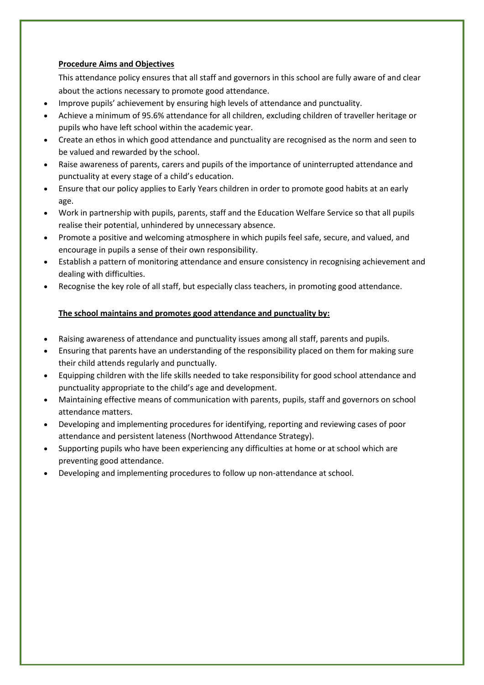## **Procedure Aims and Objectives**

This attendance policy ensures that all staff and governors in this school are fully aware of and clear about the actions necessary to promote good attendance.

- Improve pupils' achievement by ensuring high levels of attendance and punctuality.
- Achieve a minimum of 95.6% attendance for all children, excluding children of traveller heritage or pupils who have left school within the academic year.
- Create an ethos in which good attendance and punctuality are recognised as the norm and seen to be valued and rewarded by the school.
- Raise awareness of parents, carers and pupils of the importance of uninterrupted attendance and punctuality at every stage of a child's education.
- Ensure that our policy applies to Early Years children in order to promote good habits at an early age.
- Work in partnership with pupils, parents, staff and the Education Welfare Service so that all pupils realise their potential, unhindered by unnecessary absence.
- Promote a positive and welcoming atmosphere in which pupils feel safe, secure, and valued, and encourage in pupils a sense of their own responsibility.
- Establish a pattern of monitoring attendance and ensure consistency in recognising achievement and dealing with difficulties.
- Recognise the key role of all staff, but especially class teachers, in promoting good attendance.

## **The school maintains and promotes good attendance and punctuality by:**

- Raising awareness of attendance and punctuality issues among all staff, parents and pupils.
- Ensuring that parents have an understanding of the responsibility placed on them for making sure their child attends regularly and punctually.
- Equipping children with the life skills needed to take responsibility for good school attendance and punctuality appropriate to the child's age and development.
- Maintaining effective means of communication with parents, pupils, staff and governors on school attendance matters.
- Developing and implementing procedures for identifying, reporting and reviewing cases of poor attendance and persistent lateness (Northwood Attendance Strategy).
- Supporting pupils who have been experiencing any difficulties at home or at school which are preventing good attendance.
- Developing and implementing procedures to follow up non-attendance at school.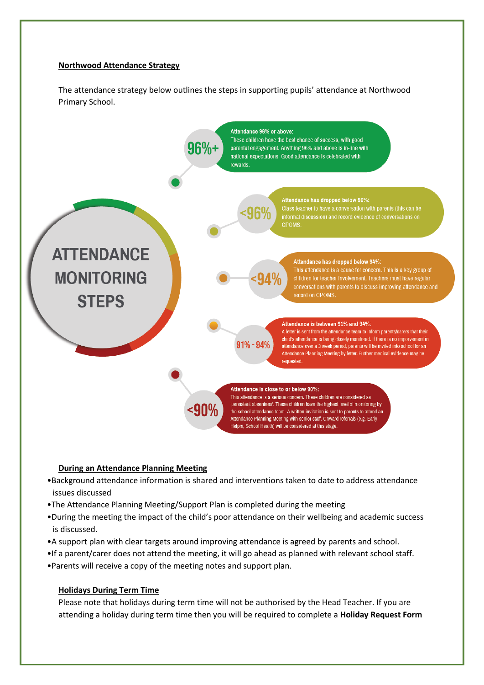## **Northwood Attendance Strategy**

The attendance strategy below outlines the steps in supporting pupils' attendance at Northwood Primary School.



## **During an Attendance Planning Meeting**

- •Background attendance information is shared and interventions taken to date to address attendance issues discussed
- •The Attendance Planning Meeting/Support Plan is completed during the meeting
- •During the meeting the impact of the child's poor attendance on their wellbeing and academic success is discussed.
- •A support plan with clear targets around improving attendance is agreed by parents and school.
- •If a parent/carer does not attend the meeting, it will go ahead as planned with relevant school staff.
- •Parents will receive a copy of the meeting notes and support plan.

## **Holidays During Term Time**

Please note that holidays during term time will not be authorised by the Head Teacher. If you are attending a holiday during term time then you will be required to complete a **Holiday Request Form**